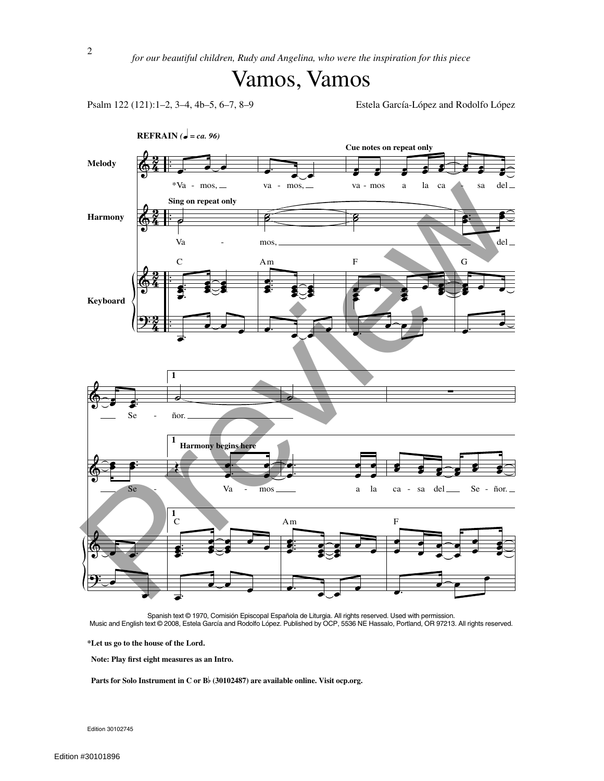## Vamos, Vamos

Psalm 122 (121):1–2, 3–4, 4b–5, 6–7, 8–9 Estela García-López and Rodolfo López



Spanish text © 1970, Comisión Episcopal Española de Liturgia. All rights reserved. Used with permission. Music and English text © 2008, Estela García and Rodolfo López. Published by OCP, 5536 NE Hassalo, Portland, OR 97213. All rights reserved.

**\*Let us go to the house of the Lord.**

**Note: Play first eight measures as an Intro.**

**Parts for Solo Instrument in <sup>C</sup> or <sup>B</sup> (30102487) are available online. Visit ocp.org.**

Edition 30102745

2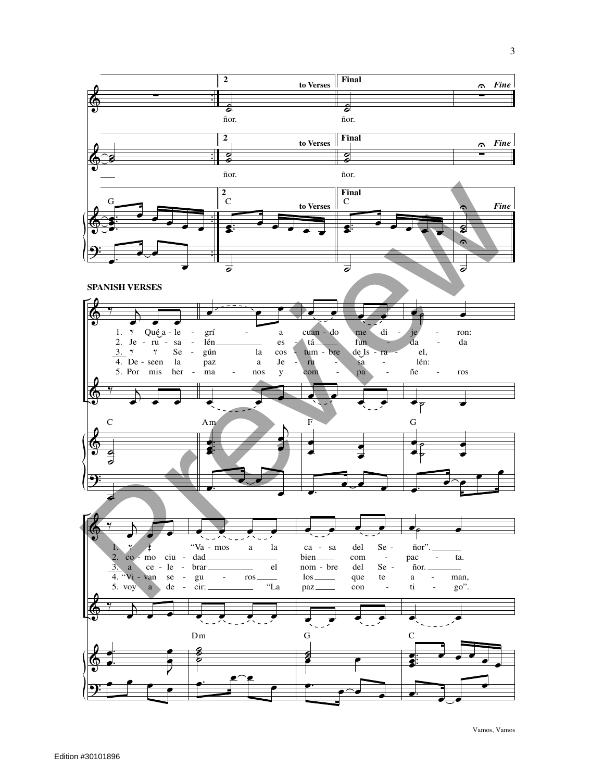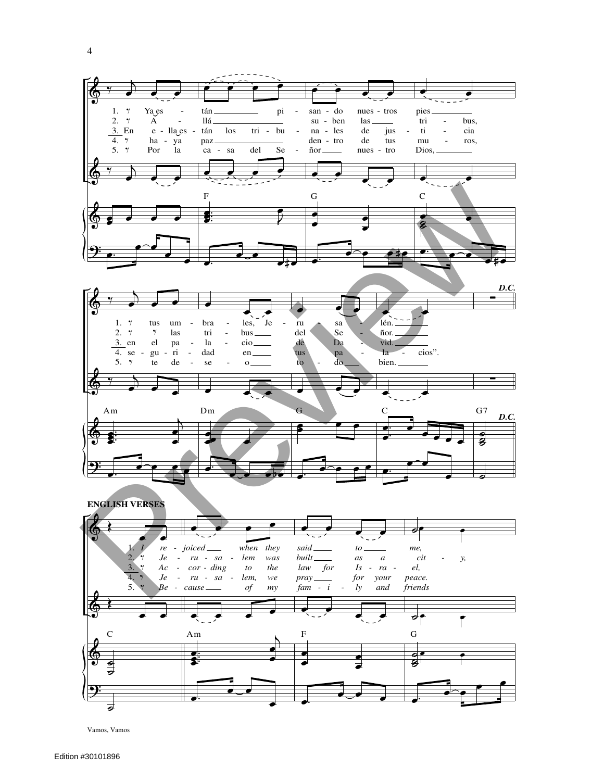

Vamos, Vamos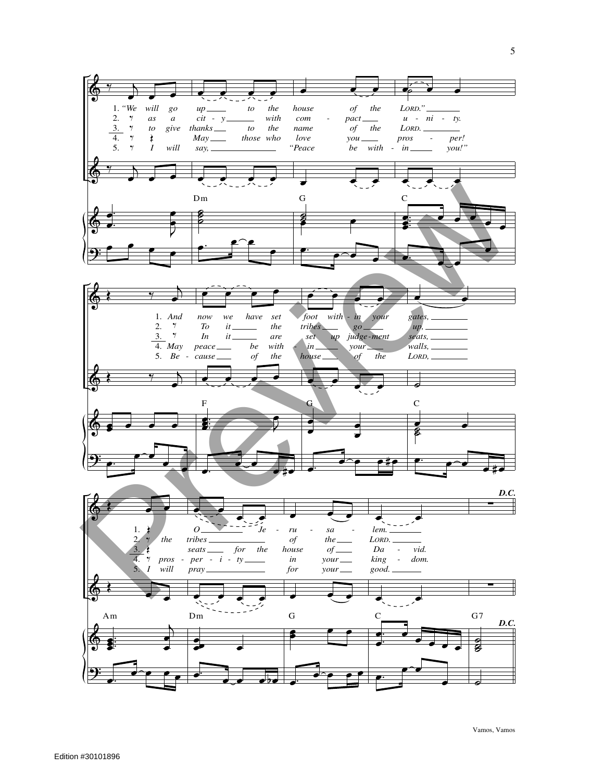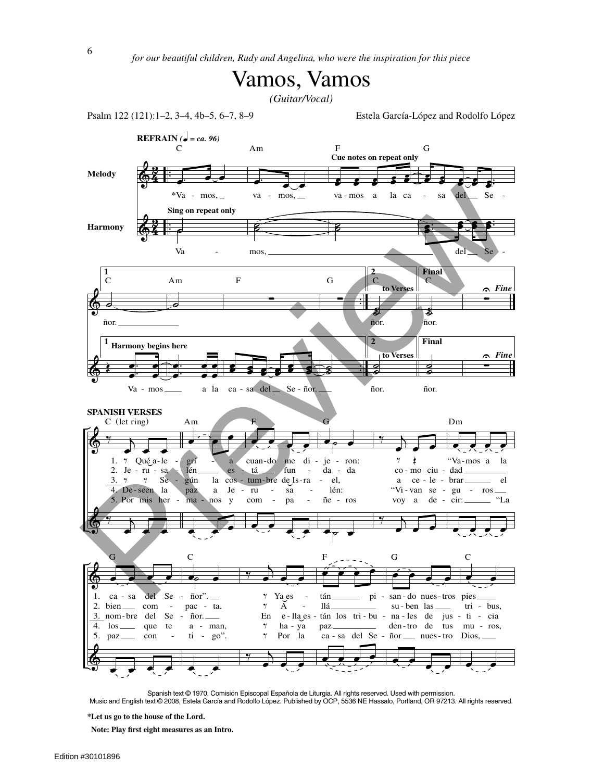

*(Guitar/Vocal)*

Psalm 122 (121):1–2, 3–4, 4b–5, 6–7, 8–9 Estela García-López and Rodolfo López



Spanish text © 1970, Comisión Episcopal Española de Liturgia. All rights reserved. Used with permission.

Music and English text © 2008, Estela García and Rodolfo López. Published by OCP, 5536 NE Hassalo, Portland, OR 97213. All rights reserved.

**Note: Play first eight measures as an Intro.**

**<sup>\*</sup>Let us go to the house of the Lord.**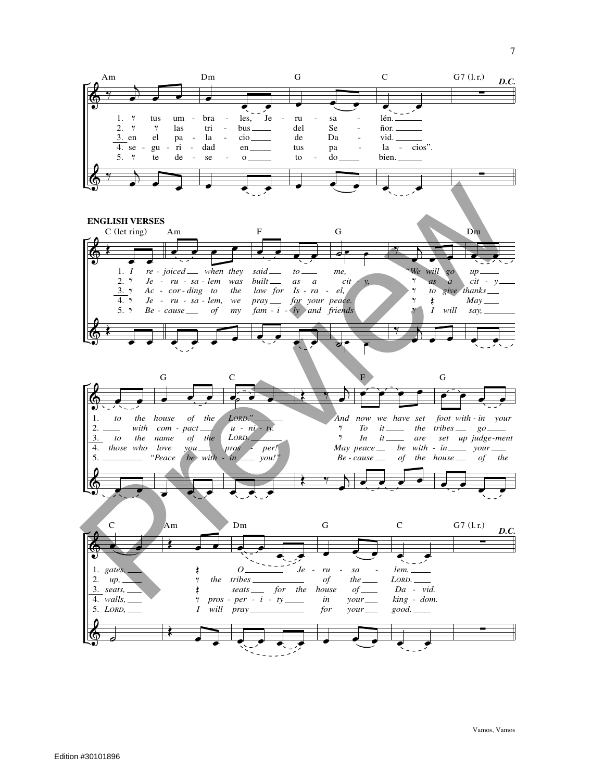

Vamos, Vamos